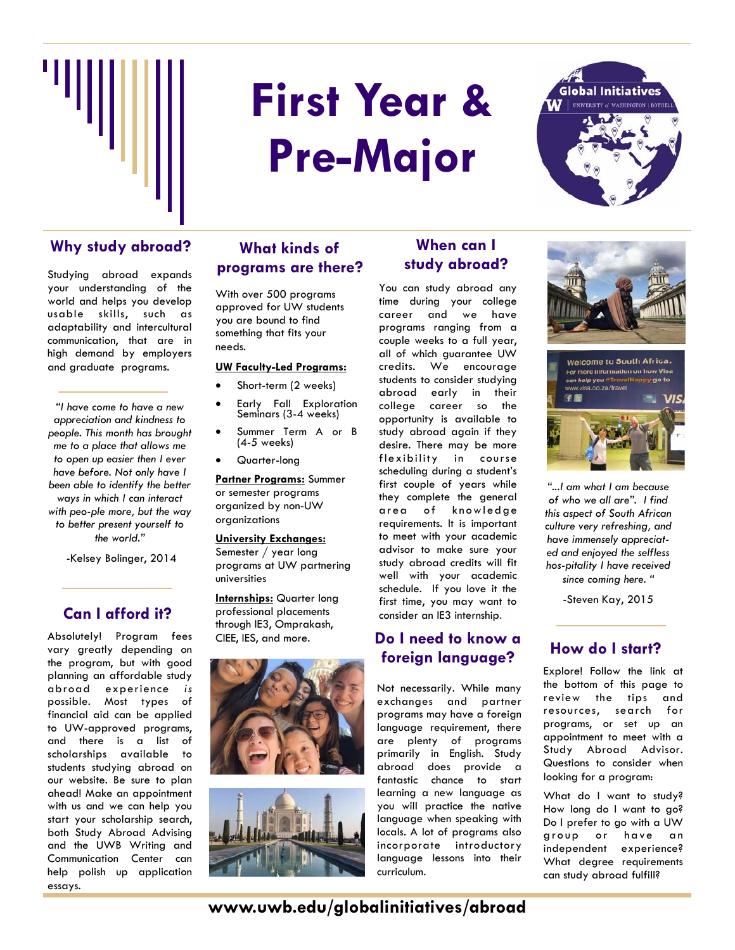

# **First Year & Pre-Major**



#### Why study abroad? What kinds of **When can I**

Studying abroad expands your understanding of the world and helps you develop usable skills, such as adaptability and intercultural communication, that are in high demand by employers and graduate programs.

*"I have come to have a new appreciation and kindness to people. This month has brought me to a place that allows me to open up easier then I ever have before. Not only have I been able to identify the better ways in which I can interact with people more, but the way to better present yourself to the world."* 

-Kelsey Bolinger, 2014

#### **Can I afford it?**

Absolutely! Program fees vary greatly depending on the program, but with good planning an affordable study abroad experience *is* possible. Most types of financial aid can be applied to UW-approved programs, and there is a list of scholarships available to students studying abroad on our website. Be sure to plan ahead! Make an appointment with us and we can help you start your scholarship search, both Study Abroad Advising and the UWB Writing and Communication Center can help polish up application essays.

#### **What kinds of programs are there?**

With over 500 programs approved for UW students you are bound to find something that fits your needs.

#### **UW Faculty-Led Programs:**

- Short-term (2 weeks)
- Early Fall Exploration Seminars (3-4 weeks)
- Summer Term A or B (4-5 weeks)
- Quarter-long

**Partner Programs:** Summer or semester programs organized by non-UW organizations

#### **University Exchanges:**

Semester / year long programs at UW partnering universities

**Internships:** Quarter long professional placements through IE3, Omprakash, CIEE, IES, and more.





## **study abroad?**

You can study abroad any time during your college career and we have programs ranging from a couple weeks to a full year, all of which guarantee UW credits. We encourage students to consider studying abroad early in their college career so the opportunity is available to study abroad again if they desire. There may be more flexibility in course scheduling during a student's first couple of years while they complete the general area of knowledge requirements. It is important to meet with your academic advisor to make sure your study abroad credits will fit well with your academic schedule. If you love it the first time, you may want to consider an IE3 internship.

#### **Do I need to know a foreign language? How do I start?**

Not necessarily. While many exchanges and partner programs may have a foreign language requirement, there are plenty of programs primarily in English. Study abroad does provide a fantastic chance to start learning a new language as you will practice the native language when speaking with locals. A lot of programs also incorporate introductory language lessons into their curriculum.



*"...I am what I am because of who we all are". I find this aspect of South African culture very refreshing, and have immensely appreciated and enjoyed the selfless hospitality I have received since coming here. "* 

-Steven Kay, 2015

Explore! Follow the link at the bottom of this page to review the tips and resources, search for programs, or set up an appointment to meet with a Study Abroad Advisor. Questions to consider when looking for a program:

What do I want to study? How long do I want to go? Do I prefer to go with a UW group or have an independent experience? What degree requirements can study abroad fulfill?

**www.uwb.edu/globalinitiatives/abroad**